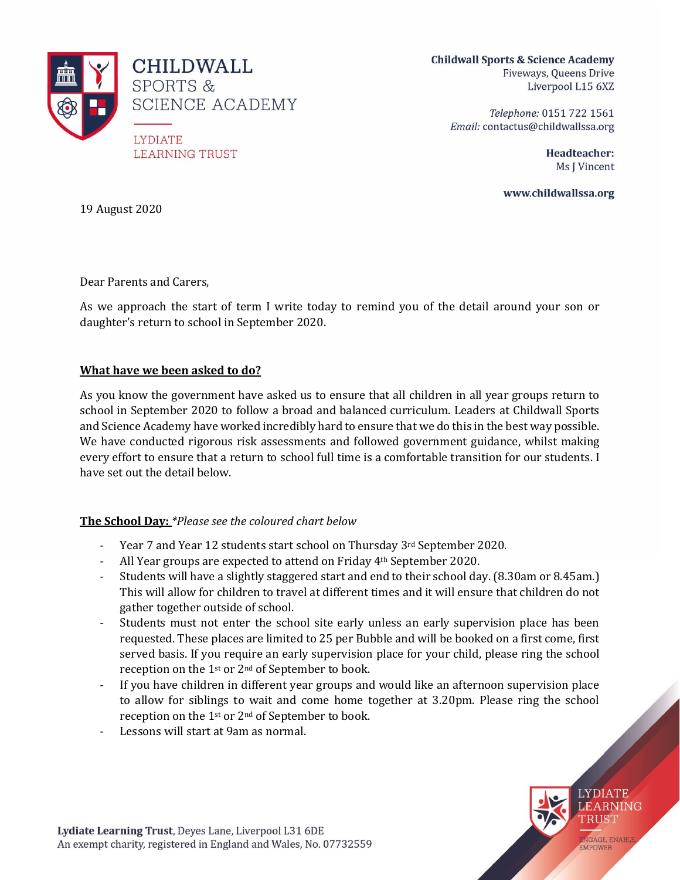

**Childwall Sports & Science Academy** Fiveways, Queens Drive Liverpool L15 6XZ

> Telephone: 0151 722 1561 Email: contactus@childwallssa.org

> > Headteacher: Ms J Vincent

www.childwallssa.org

19 August 2020

Dear Parents and Carers,

As we approach the start of term I write today to remind you of the detail around your son or daughter's return to school in September 2020.

#### **What have we been asked to do?**

As you know the government have asked us to ensure that all children in all year groups return to school in September 2020 to follow a broad and balanced curriculum. Leaders at Childwall Sports and Science Academy have worked incredibly hard to ensure that we do this in the best way possible. We have conducted rigorous risk assessments and followed government guidance, whilst making every effort to ensure that a return to school full time is a comfortable transition for our students. I have set out the detail below.

#### **The School Day:** *\*Please see the coloured chart below*

- Year 7 and Year 12 students start school on Thursday 3rd September 2020.
- All Year groups are expected to attend on Friday 4<sup>th</sup> September 2020.
- Students will have a slightly staggered start and end to their school day. (8.30am or 8.45am.) This will allow for children to travel at different times and it will ensure that children do not gather together outside of school.
- Students must not enter the school site early unless an early supervision place has been requested. These places are limited to 25 per Bubble and will be booked on a first come, first served basis. If you require an early supervision place for your child, please ring the school reception on the 1st or 2nd of September to book.
- If you have children in different year groups and would like an afternoon supervision place to allow for siblings to wait and come home together at 3.20pm. Please ring the school reception on the 1st or 2nd of September to book.
- Lessons will start at 9am as normal.

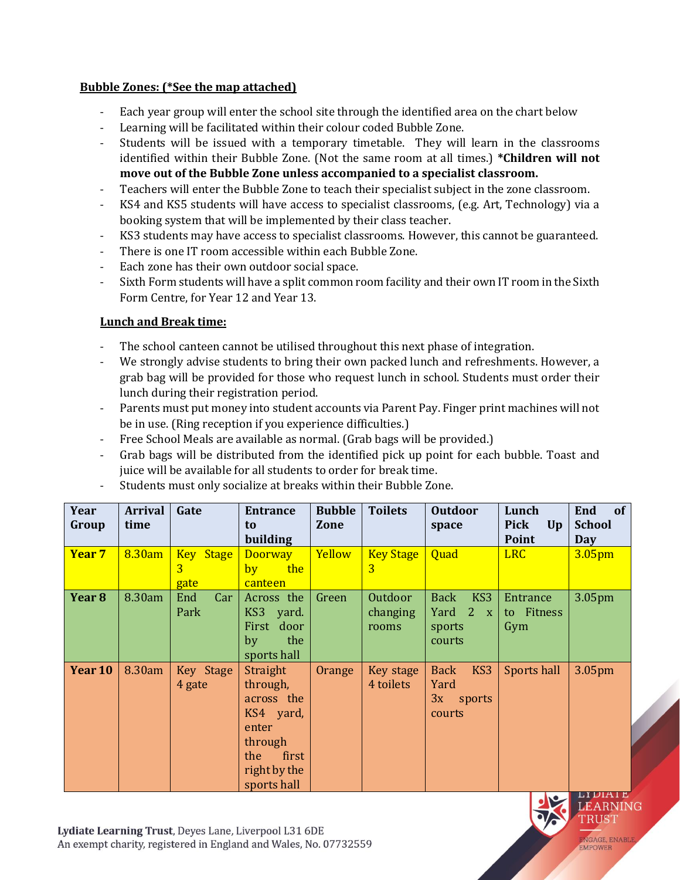### **Bubble Zones: (\*See the map attached)**

- Each year group will enter the school site through the identified area on the chart below
- Learning will be facilitated within their colour coded Bubble Zone.
- Students will be issued with a temporary timetable. They will learn in the classrooms identified within their Bubble Zone. (Not the same room at all times.) **\*Children will not move out of the Bubble Zone unless accompanied to a specialist classroom.**
- Teachers will enter the Bubble Zone to teach their specialist subject in the zone classroom.
- KS4 and KS5 students will have access to specialist classrooms, (e.g. Art, Technology) via a booking system that will be implemented by their class teacher.
- KS3 students may have access to specialist classrooms. However, this cannot be guaranteed.
- There is one IT room accessible within each Bubble Zone.
- Each zone has their own outdoor social space.
- Sixth Form students will have a split common room facility and their own IT room in the Sixth Form Centre, for Year 12 and Year 13.

### **Lunch and Break time:**

- The school canteen cannot be utilised throughout this next phase of integration.
- We strongly advise students to bring their own packed lunch and refreshments. However, a grab bag will be provided for those who request lunch in school. Students must order their lunch during their registration period.
- Parents must put money into student accounts via Parent Pay. Finger print machines will not be in use. (Ring reception if you experience difficulties.)
- Free School Meals are available as normal. (Grab bags will be provided.)
- Grab bags will be distributed from the identified pick up point for each bubble. Toast and juice will be available for all students to order for break time.
- Students must only socialize at breaks within their Bubble Zone.

| Year<br>Group     | <b>Arrival</b><br>time | Gate                          | <b>Entrance</b><br>to                                                                                              | <b>Bubble</b><br>Zone | <b>Toilets</b>               | <b>Outdoor</b><br>space                                     | Lunch<br><b>Pick</b><br>Up    | End<br><b>of</b><br><b>School</b> |
|-------------------|------------------------|-------------------------------|--------------------------------------------------------------------------------------------------------------------|-----------------------|------------------------------|-------------------------------------------------------------|-------------------------------|-----------------------------------|
|                   |                        |                               | building                                                                                                           |                       |                              |                                                             | <b>Point</b>                  | Day                               |
| Year <sub>7</sub> | 8.30am                 | <b>Key Stage</b><br>3<br>gate | <b>Doorway</b><br>the<br>by<br>canteen                                                                             | Yellow                | <b>Key Stage</b><br>3        | Quad                                                        | <b>LRC</b>                    | 3.05 <sub>pm</sub>                |
| Year <sub>8</sub> | 8.30am                 | End<br>Car<br>Park            | Across the<br>KS3 yard.<br>First door<br>the<br>by<br>sports hall                                                  | Green                 | Outdoor<br>changing<br>rooms | KS3<br><b>Back</b><br>Yard 2<br>X<br>sports<br>courts       | Entrance<br>to Fitness<br>Gym | 3.05 <sub>pm</sub>                |
| Year 10           | 8.30am                 | Key Stage<br>4 gate           | Straight<br>through,<br>across the<br>KS4 yard,<br>enter<br>through<br>first<br>the<br>right by the<br>sports hall | Orange                | Key stage<br>4 toilets       | KS3<br><b>Back</b><br>Yard<br>3x<br>sports<br><b>courts</b> | Sports hall                   | 3.05pm                            |

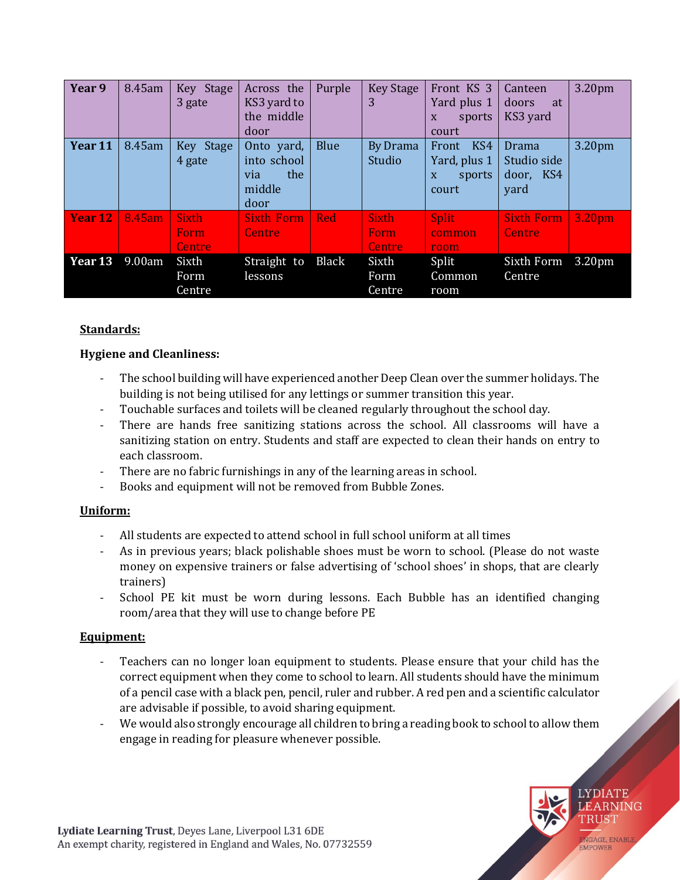| Year 9  | 8.45am | Key Stage<br>3 gate                   | Across the<br>KS3 yard to<br>the middle<br>door           | Purple       | <b>Key Stage</b><br>3          | Front KS 3<br>Yard plus 1<br>sports<br>X<br>court    | Canteen<br>doors<br>at<br>KS3 yard        | 3.20pm             |
|---------|--------|---------------------------------------|-----------------------------------------------------------|--------------|--------------------------------|------------------------------------------------------|-------------------------------------------|--------------------|
| Year 11 | 8.45am | Key Stage<br>4 gate                   | Onto yard,<br>into school<br>the<br>via<br>middle<br>door | <b>Blue</b>  | <b>By Drama</b><br>Studio      | KS4<br>Front<br>Yard, plus 1<br>sports<br>X<br>court | Drama<br>Studio side<br>door, KS4<br>yard | 3.20pm             |
| Year 12 | 8.45am | <b>Sixth</b><br>Form<br><b>Centre</b> | <b>Sixth Form</b><br><b>Centre</b>                        | <b>Red</b>   | <b>Sixth</b><br>Form<br>Centre | <b>Split</b><br>common<br>room                       | <b>Sixth Form</b><br><b>Centre</b>        | 3.20 <sub>pm</sub> |
| Year 13 | 9.00am | Sixth<br>Form<br>Centre               | Straight to<br>lessons                                    | <b>Black</b> | Sixth<br>Form<br>Centre        | Split<br>Common<br>room                              | Sixth Form<br>Centre                      | 3.20 <sub>pm</sub> |

# **Standards:**

# **Hygiene and Cleanliness:**

- The school building will have experienced another Deep Clean over the summer holidays. The building is not being utilised for any lettings or summer transition this year.
- Touchable surfaces and toilets will be cleaned regularly throughout the school day.
- There are hands free sanitizing stations across the school. All classrooms will have a sanitizing station on entry. Students and staff are expected to clean their hands on entry to each classroom.
- There are no fabric furnishings in any of the learning areas in school.
- Books and equipment will not be removed from Bubble Zones.

# **Uniform:**

- All students are expected to attend school in full school uniform at all times
- As in previous years; black polishable shoes must be worn to school. (Please do not waste money on expensive trainers or false advertising of 'school shoes' in shops, that are clearly trainers)
- School PE kit must be worn during lessons. Each Bubble has an identified changing room/area that they will use to change before PE

# **Equipment:**

- Teachers can no longer loan equipment to students. Please ensure that your child has the correct equipment when they come to school to learn. All students should have the minimum of a pencil case with a black pen, pencil, ruler and rubber. A red pen and a scientific calculator are advisable if possible, to avoid sharing equipment.
- We would also strongly encourage all children to bring a reading book to school to allow them engage in reading for pleasure whenever possible.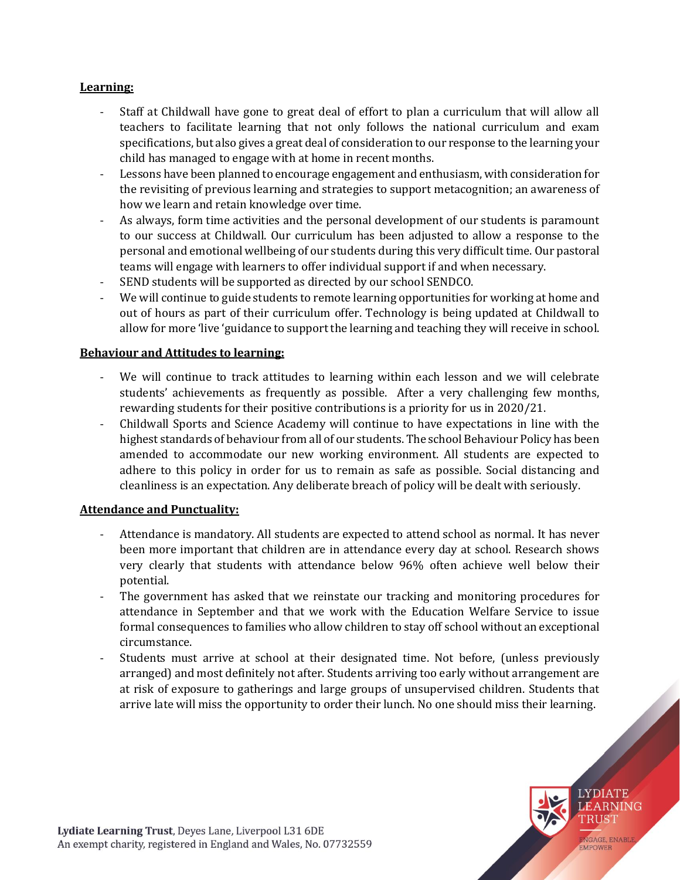### **Learning:**

- Staff at Childwall have gone to great deal of effort to plan a curriculum that will allow all teachers to facilitate learning that not only follows the national curriculum and exam specifications, but also gives a great deal of consideration to our response to the learning your child has managed to engage with at home in recent months.
- Lessons have been planned to encourage engagement and enthusiasm, with consideration for the revisiting of previous learning and strategies to support metacognition; an awareness of how we learn and retain knowledge over time.
- As always, form time activities and the personal development of our students is paramount to our success at Childwall. Our curriculum has been adjusted to allow a response to the personal and emotional wellbeing of our students during this very difficult time. Our pastoral teams will engage with learners to offer individual support if and when necessary.
- SEND students will be supported as directed by our school SENDCO.
- We will continue to guide students to remote learning opportunities for working at home and out of hours as part of their curriculum offer. Technology is being updated at Childwall to allow for more 'live 'guidance to support the learning and teaching they will receive in school.

### **Behaviour and Attitudes to learning:**

- We will continue to track attitudes to learning within each lesson and we will celebrate students' achievements as frequently as possible. After a very challenging few months, rewarding students for their positive contributions is a priority for us in 2020/21.
- Childwall Sports and Science Academy will continue to have expectations in line with the highest standards of behaviour from all of our students. The school Behaviour Policy has been amended to accommodate our new working environment. All students are expected to adhere to this policy in order for us to remain as safe as possible. Social distancing and cleanliness is an expectation. Any deliberate breach of policy will be dealt with seriously.

### **Attendance and Punctuality:**

- Attendance is mandatory. All students are expected to attend school as normal. It has never been more important that children are in attendance every day at school. Research shows very clearly that students with attendance below 96% often achieve well below their potential.
- The government has asked that we reinstate our tracking and monitoring procedures for attendance in September and that we work with the Education Welfare Service to issue formal consequences to families who allow children to stay off school without an exceptional circumstance.
- Students must arrive at school at their designated time. Not before, (unless previously arranged) and most definitely not after. Students arriving too early without arrangement are at risk of exposure to gatherings and large groups of unsupervised children. Students that arrive late will miss the opportunity to order their lunch. No one should miss their learning.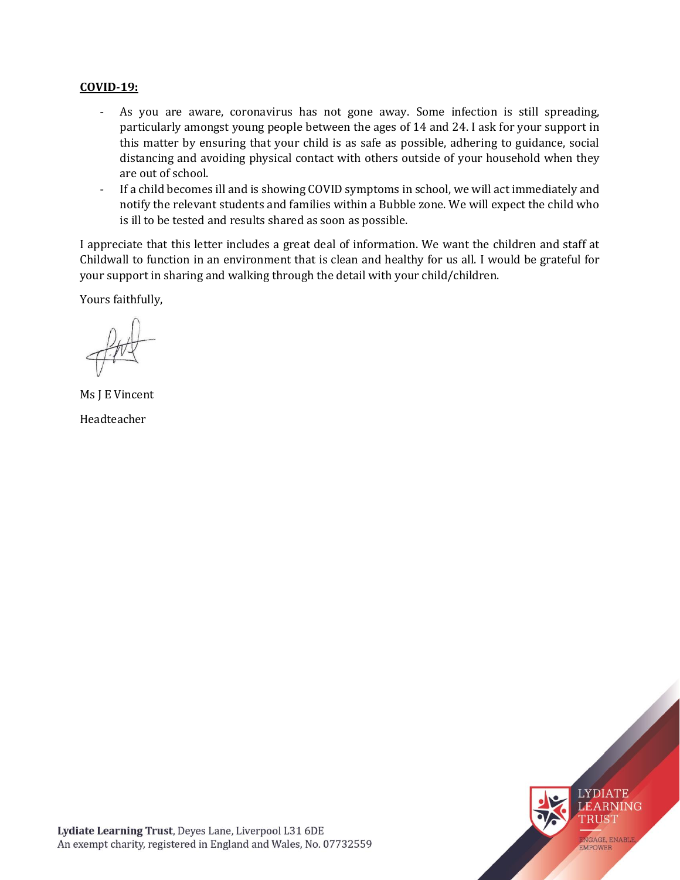#### **COVID-19:**

- As you are aware, coronavirus has not gone away. Some infection is still spreading, particularly amongst young people between the ages of 14 and 24. I ask for your support in this matter by ensuring that your child is as safe as possible, adhering to guidance, social distancing and avoiding physical contact with others outside of your household when they are out of school.
- If a child becomes ill and is showing COVID symptoms in school, we will act immediately and notify the relevant students and families within a Bubble zone. We will expect the child who is ill to be tested and results shared as soon as possible.

I appreciate that this letter includes a great deal of information. We want the children and staff at Childwall to function in an environment that is clean and healthy for us all. I would be grateful for your support in sharing and walking through the detail with your child/children.

Yours faithfully,

Ms J E Vincent Headteacher